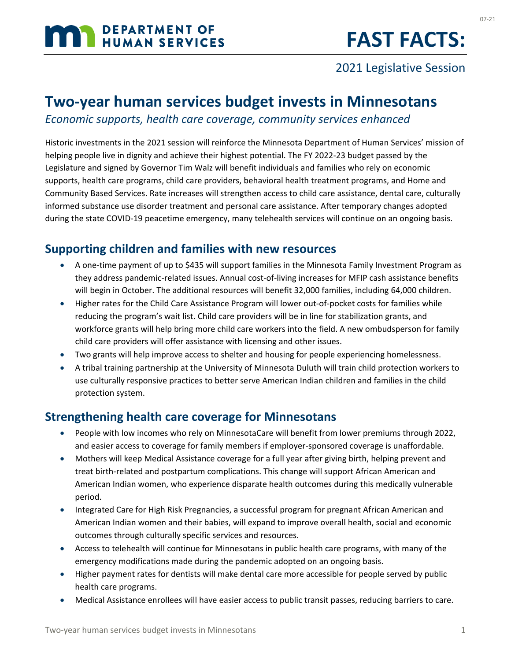# **MAN DEPARTMENT OF HUMAN SERVICES**

### 2021 Legislative Session

## **Two-year human services budget invests in Minnesotans**

*Economic supports, health care coverage, community services enhanced*

Historic investments in the 2021 session will reinforce the Minnesota Department of Human Services' mission of helping people live in dignity and achieve their highest potential. The FY 2022-23 budget passed by the Legislature and signed by Governor Tim Walz will benefit individuals and families who rely on economic supports, health care programs, child care providers, behavioral health treatment programs, and Home and Community Based Services. Rate increases will strengthen access to child care assistance, dental care, culturally informed substance use disorder treatment and personal care assistance. After temporary changes adopted during the state COVID-19 peacetime emergency, many telehealth services will continue on an ongoing basis.

#### **Supporting children and families with new resources**

- A one-time payment of up to \$435 will support families in the Minnesota Family Investment Program as they address pandemic-related issues. Annual cost-of-living increases for MFIP cash assistance benefits will begin in October. The additional resources will benefit 32,000 families, including 64,000 children.
- Higher rates for the Child Care Assistance Program will lower out-of-pocket costs for families while reducing the program's wait list. Child care providers will be in line for stabilization grants, and workforce grants will help bring more child care workers into the field. A new ombudsperson for family child care providers will offer assistance with licensing and other issues.
- Two grants will help improve access to shelter and housing for people experiencing homelessness.
- A tribal training partnership at the University of Minnesota Duluth will train child protection workers to use culturally responsive practices to better serve American Indian children and families in the child protection system.

#### **Strengthening health care coverage for Minnesotans**

- People with low incomes who rely on MinnesotaCare will benefit from lower premiums through 2022, and easier access to coverage for family members if employer-sponsored coverage is unaffordable.
- Mothers will keep Medical Assistance coverage for a full year after giving birth, helping prevent and treat birth-related and postpartum complications. This change will support African American and American Indian women, who experience disparate health outcomes during this medically vulnerable period.
- Integrated Care for High Risk Pregnancies, a successful program for pregnant African American and American Indian women and their babies, will expand to improve overall health, social and economic outcomes through culturally specific services and resources.
- Access to telehealth will continue for Minnesotans in public health care programs, with many of the emergency modifications made during the pandemic adopted on an ongoing basis.
- Higher payment rates for dentists will make dental care more accessible for people served by public health care programs.
- Medical Assistance enrollees will have easier access to public transit passes, reducing barriers to care.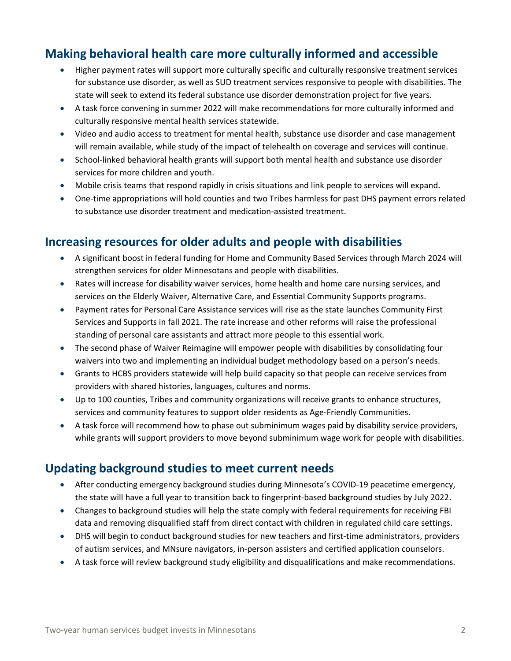#### **Making behavioral health care more culturally informed and accessible**

- Higher payment rates will support more culturally specific and culturally responsive treatment services for substance use disorder, as well as SUD treatment services responsive to people with disabilities. The state will seek to extend its federal substance use disorder demonstration project for five years.
- A task force convening in summer 2022 will make recommendations for more culturally informed and culturally responsive mental health services statewide.
- Video and audio access to treatment for mental health, substance use disorder and case management will remain available, while study of the impact of telehealth on coverage and services will continue.
- School-linked behavioral health grants will support both mental health and substance use disorder services for more children and youth.
- Mobile crisis teams that respond rapidly in crisis situations and link people to services will expand.
- One-time appropriations will hold counties and two Tribes harmless for past DHS payment errors related to substance use disorder treatment and medication-assisted treatment.

#### **Increasing resources for older adults and people with disabilities**

- A significant boost in federal funding for Home and Community Based Services through March 2024 will strengthen services for older Minnesotans and people with disabilities.
- Rates will increase for disability waiver services, home health and home care nursing services, and services on the Elderly Waiver, Alternative Care, and Essential Community Supports programs.
- Payment rates for Personal Care Assistance services will rise as the state launches Community First Services and Supports in fall 2021. The rate increase and other reforms will raise the professional standing of personal care assistants and attract more people to this essential work.
- The second phase of Waiver Reimagine will empower people with disabilities by consolidating four waivers into two and implementing an individual budget methodology based on a person's needs.
- Grants to HCBS providers statewide will help build capacity so that people can receive services from providers with shared histories, languages, cultures and norms.
- Up to 100 counties, Tribes and community organizations will receive grants to enhance structures, services and community features to support older residents as Age-Friendly Communities.
- A task force will recommend how to phase out subminimum wages paid by disability service providers, while grants will support providers to move beyond subminimum wage work for people with disabilities.

#### **Updating background studies to meet current needs**

- After conducting emergency background studies during Minnesota's COVID-19 peacetime emergency, the state will have a full year to transition back to fingerprint-based background studies by July 2022.
- Changes to background studies will help the state comply with federal requirements for receiving FBI data and removing disqualified staff from direct contact with children in regulated child care settings.
- DHS will begin to conduct background studies for new teachers and first-time administrators, providers of autism services, and MNsure navigators, in-person assisters and certified application counselors.
- A task force will review background study eligibility and disqualifications and make recommendations.